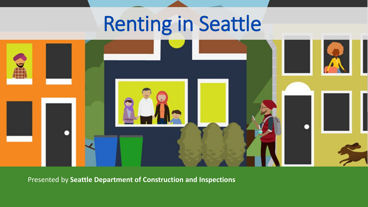# Renting in Seattle



Presented by **Seattle Department of Construction and Inspections**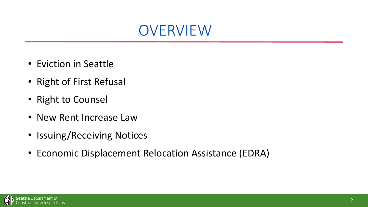

- Eviction in Seattle
- Right of First Refusal
- Right to Counsel
- New Rent Increase Law
- Issuing/Receiving Notices
- Economic Displacement Relocation Assistance (EDRA)

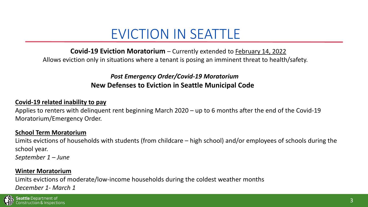#### EVICTION IN SEATTLE

**Covid-19 Eviction Moratorium** – Currently extended to February 14, 2022 Allows eviction only in situations where a tenant is posing an imminent threat to health/safety.

#### *Post Emergency Order/Covid-19 Moratorium* **New Defenses to Eviction in Seattle Municipal Code**

#### **Covid-19 related inability to pay**

Applies to renters with delinquent rent beginning March 2020 – up to 6 months after the end of the Covid-19 Moratorium/Emergency Order.

#### **School Term Moratorium**

Limits evictions of households with students (from childcare – high school) and/or employees of schools during the school year.

*September 1 – June* 

#### **Winter Moratorium**

Limits evictions of moderate/low-income households during the coldest weather months *December 1- March 1*

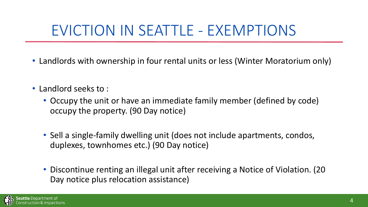## EVICTION IN SEATTLE - EXEMPTIONS

- Landlords with ownership in four rental units or less (Winter Moratorium only)
- Landlord seeks to :
	- Occupy the unit or have an immediate family member (defined by code) occupy the property. (90 Day notice)
	- Sell a single-family dwelling unit (does not include apartments, condos, duplexes, townhomes etc.) (90 Day notice)
	- Discontinue renting an illegal unit after receiving a Notice of Violation. (20 Day notice plus relocation assistance)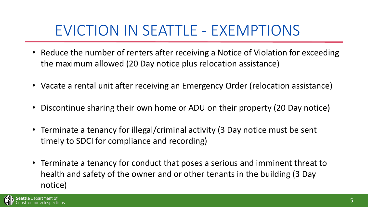#### EVICTION IN SEATTLE - EXEMPTIONS

- Reduce the number of renters after receiving a Notice of Violation for exceeding the maximum allowed (20 Day notice plus relocation assistance)
- Vacate a rental unit after receiving an Emergency Order (relocation assistance)
- Discontinue sharing their own home or ADU on their property (20 Day notice)
- Terminate a tenancy for illegal/criminal activity (3 Day notice must be sent timely to SDCI for compliance and recording)
- Terminate a tenancy for conduct that poses a serious and imminent threat to health and safety of the owner and or other tenants in the building (3 Day notice)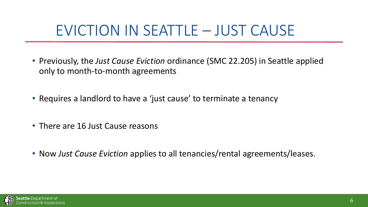#### EVICTION IN SEATTLE – JUST CAUSE

- Previously, the *Just Cause Eviction* ordinance (SMC 22.205) in Seattle applied only to month-to-month agreements
- Requires a landlord to have a 'just cause' to terminate a tenancy
- There are 16 Just Cause reasons
- Now *Just Cause Eviction* applies to all tenancies/rental agreements/leases.

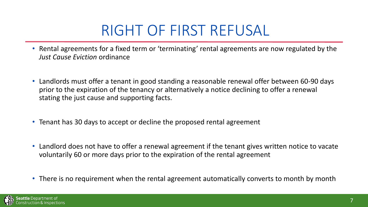## RIGHT OF FIRST REFUSAL

- Rental agreements for a fixed term or 'terminating' rental agreements are now regulated by the *Just Cause Eviction* ordinance
- Landlords must offer a tenant in good standing a reasonable renewal offer between 60-90 days prior to the expiration of the tenancy or alternatively a notice declining to offer a renewal stating the just cause and supporting facts.
- Tenant has 30 days to accept or decline the proposed rental agreement
- Landlord does not have to offer a renewal agreement if the tenant gives written notice to vacate voluntarily 60 or more days prior to the expiration of the rental agreement
- There is no requirement when the rental agreement automatically converts to month by month

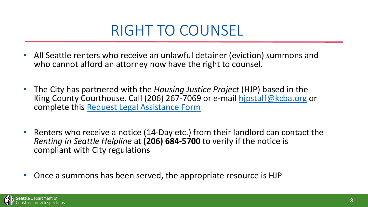#### RIGHT TO COUNSEL

- All Seattle renters who receive an unlawful detainer (eviction) summons and who cannot afford an attorney now have the right to counsel.
- The City has partnered with the *Housing Justice Project* (HJP) based in the King County Courthouse. Call (206) 267-7069 or e-mail [hjpstaff@kcba.org](mailto:hjpstaff@kcba.org) or complete this [Request Legal Assistance Form](https://forms.office.com/Pages/ResponsePage.aspx?id=zv4jZGryDEyNRmM2-SKZQb76zn7MIn9Puz7uJobrYeVUODNEWUJOSjU4QUlaUjkzNERVMTVWSkVHNy4u)
- Renters who receive a notice (14-Day etc.) from their landlord can contact the *Renting in Seattle Helpline* at **(206) 684-5700** to verify if the notice is compliant with City regulations
- Once a summons has been served, the appropriate resource is HJP

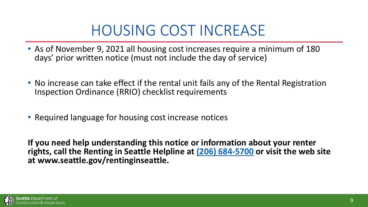## HOUSING COST INCREASE

- As of November 9, 2021 all housing cost increases require a minimum of 180 days' prior written notice (must not include the day of service)
- No increase can take effect if the rental unit fails any of the Rental Registration Inspection Ordinance (RRIO) checklist requirements
- Required language for housing cost increase notices

**If you need help understanding this notice or information about your renter rights, call the Renting in Seattle Helpline at [\(206\) 684-5700](tel:%20+1%20(206)%20684-5700) or visit the web site at www.seattle.gov/rentinginseattle.**

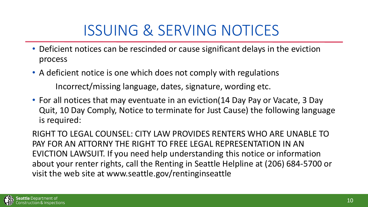## ISSUING & SERVING NOTICES

- Deficient notices can be rescinded or cause significant delays in the eviction process
- A deficient notice is one which does not comply with regulations Incorrect/missing language, dates, signature, wording etc.
- For all notices that may eventuate in an eviction(14 Day Pay or Vacate, 3 Day Quit, 10 Day Comply, Notice to terminate for Just Cause) the following language is required:

RIGHT TO LEGAL COUNSEL: CITY LAW PROVIDES RENTERS WHO ARE UNABLE TO PAY FOR AN ATTORNY THE RIGHT TO FREE LEGAL REPRESENTATION IN AN EVICTION LAWSUIT. If you need help understanding this notice or information about your renter rights, call the Renting in Seattle Helpline at (206) 684-5700 or visit the web site at www.seattle.gov/rentinginseattle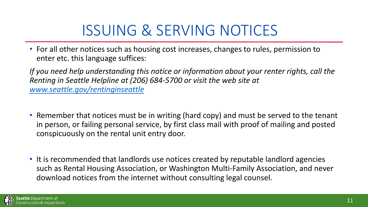## ISSUING & SERVING NOTICES

• For all other notices such as housing cost increases, changes to rules, permission to enter etc. this language suffices:

*If you need help understanding this notice or information about your renter rights, call the Renting in Seattle Helpline at (206) 684-5700 or visit the web site at [www.seattle.gov/rentinginseattle](http://www.seattle.gov/rentinginseattle)*

- Remember that notices must be in writing (hard copy) and must be served to the tenant in person, or failing personal service, by first class mail with proof of mailing and posted conspicuously on the rental unit entry door.
- It is recommended that landlords use notices created by reputable landlord agencies such as Rental Housing Association, or Washington Multi-Family Association, and never download notices from the internet without consulting legal counsel.

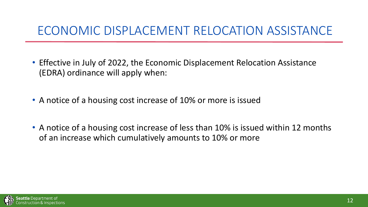#### ECONOMIC DISPLACEMENT RELOCATION ASSISTANCE

- Effective in July of 2022, the Economic Displacement Relocation Assistance (EDRA) ordinance will apply when:
- A notice of a housing cost increase of 10% or more is issued
- A notice of a housing cost increase of less than 10% is issued within 12 months of an increase which cumulatively amounts to 10% or more

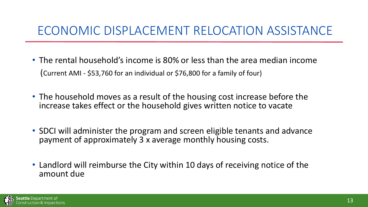#### ECONOMIC DISPLACEMENT RELOCATION ASSISTANCE

- The rental household's income is 80% or less than the area median income (Current AMI - \$53,760 for an individual or \$76,800 for a family of four)
- The household moves as a result of the housing cost increase before the increase takes effect or the household gives written notice to vacate
- SDCI will administer the program and screen eligible tenants and advance payment of approximately 3 x average monthly housing costs.
- Landlord will reimburse the City within 10 days of receiving notice of the amount due